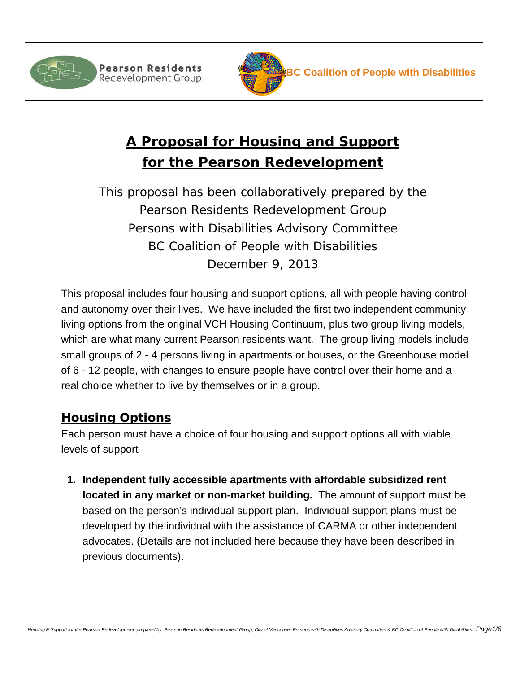



# **A Proposal for Housing and Support for the Pearson Redevelopment**

*This proposal has been collaboratively prepared by the Pearson Residents Redevelopment Group Persons with Disabilities Advisory Committee BC Coalition of People with Disabilities December 9, 2013*

This proposal includes four housing and support options, all with people having control and autonomy over their lives. We have included the first two independent community living options from the original VCH Housing Continuum, plus two group living models, which are what many current Pearson residents want. The group living models include small groups of 2 - 4 persons living in apartments or houses, or the Greenhouse model of 6 - 12 people, with changes to ensure people have control over their home and a real choice whether to live by themselves or in a group.

## **Housing Options**

Each person must have a choice of four housing and support options all with viable levels of support

**1. Independent fully accessible apartments with affordable subsidized rent located in any market or non-market building.** The amount of support must be based on the person's individual support plan. Individual support plans must be developed by the individual with the assistance of CARMA or other independent advocates. (Details are not included here because they have been described in previous documents).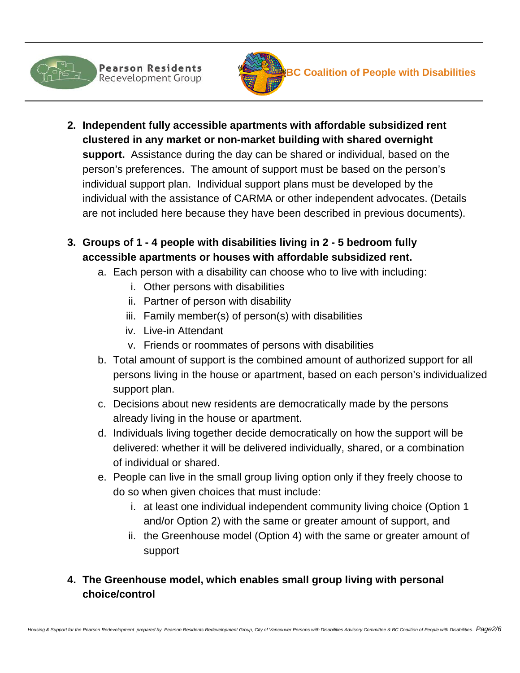

- **2. Independent fully accessible apartments with affordable subsidized rent clustered in any market or non-market building with shared overnight support.** Assistance during the day can be shared or individual, based on the person's preferences. The amount of support must be based on the person's individual support plan. Individual support plans must be developed by the individual with the assistance of CARMA or other independent advocates. (Details are not included here because they have been described in previous documents).
- **3. Groups of 1 - 4 people with disabilities living in 2 - 5 bedroom fully accessible apartments or houses with affordable subsidized rent.** 
	- a. Each person with a disability can choose who to live with including:
		- i. Other persons with disabilities
		- ii. Partner of person with disability
		- iii. Family member(s) of person(s) with disabilities
		- iv. Live-in Attendant
		- v. Friends or roommates of persons with disabilities
	- b. Total amount of support is the combined amount of authorized support for all persons living in the house or apartment, based on each person's individualized support plan.
	- c. Decisions about new residents are democratically made by the persons already living in the house or apartment.
	- d. Individuals living together decide democratically on how the support will be delivered: whether it will be delivered individually, shared, or a combination of individual or shared.
	- e. People can live in the small group living option only if they freely choose to do so when given choices that must include:
		- i. at least one individual independent community living choice (Option 1 and/or Option 2) with the same or greater amount of support, and
		- ii. the Greenhouse model (Option 4) with the same or greater amount of support

### **4. The Greenhouse model, which enables small group living with personal choice/control**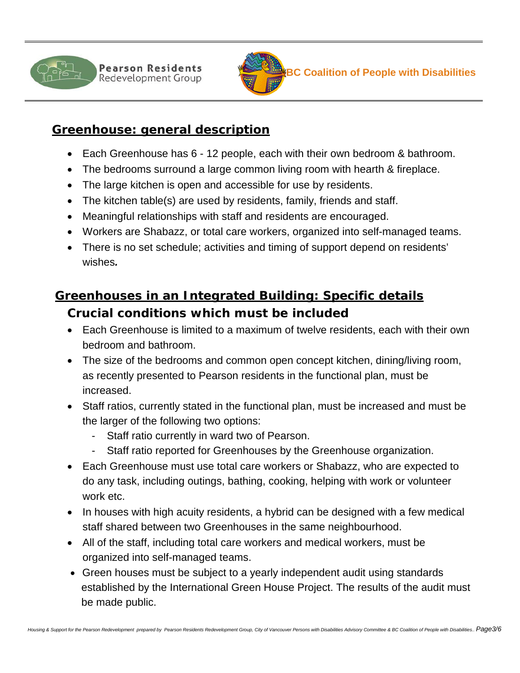



### **Greenhouse: general description**

- Each Greenhouse has 6 12 people, each with their own bedroom & bathroom.
- The bedrooms surround a large common living room with hearth & fireplace.
- The large kitchen is open and accessible for use by residents.
- The kitchen table(s) are used by residents, family, friends and staff.
- Meaningful relationships with staff and residents are encouraged.
- Workers are Shabazz, or total care workers, organized into self-managed teams.
- There is no set schedule; activities and timing of support depend on residents' wishes*.*

## **Greenhouses in an Integrated Building: Specific details Crucial conditions which must be included**

- Each Greenhouse is limited to a maximum of twelve residents, each with their own bedroom and bathroom.
- The size of the bedrooms and common open concept kitchen, dining/living room, as recently presented to Pearson residents in the functional plan, must be increased.
- Staff ratios, currently stated in the functional plan, must be increased and must be the larger of the following two options:
	- Staff ratio currently in ward two of Pearson.
	- Staff ratio reported for Greenhouses by the Greenhouse organization.
- Each Greenhouse must use total care workers or Shabazz, who are expected to do any task, including outings, bathing, cooking, helping with work or volunteer work etc.
- In houses with high acuity residents, a hybrid can be designed with a few medical staff shared between two Greenhouses in the same neighbourhood.
- All of the staff, including total care workers and medical workers, must be organized into self-managed teams.
- Green houses must be subject to a yearly independent audit using standards established by the International Green House Project. The results of the audit must be made public.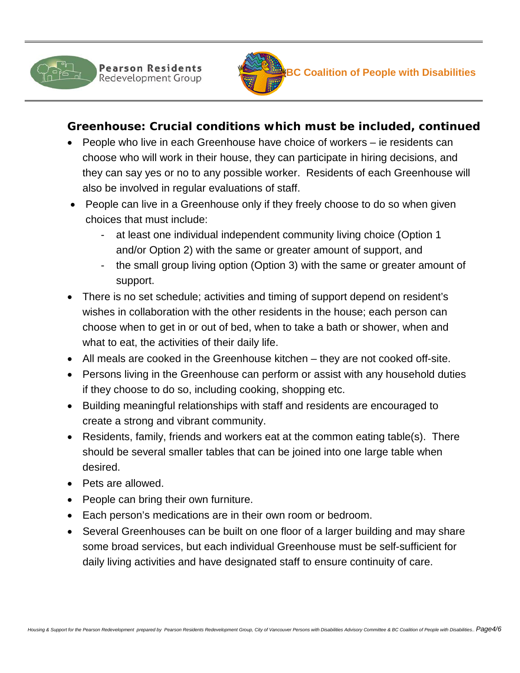



#### **Greenhouse: Crucial conditions which must be included, continued**

- People who live in each Greenhouse have choice of workers ie residents can choose who will work in their house, they can participate in hiring decisions, and they can say yes or no to any possible worker. Residents of each Greenhouse will also be involved in regular evaluations of staff.
- People can live in a Greenhouse only if they freely choose to do so when given choices that must include:
	- at least one individual independent community living choice (Option 1) and/or Option 2) with the same or greater amount of support, and
	- the small group living option (Option 3) with the same or greater amount of support.
- There is no set schedule; activities and timing of support depend on resident's wishes in collaboration with the other residents in the house; each person can choose when to get in or out of bed, when to take a bath or shower, when and what to eat, the activities of their daily life.
- All meals are cooked in the Greenhouse kitchen they are not cooked off-site.
- Persons living in the Greenhouse can perform or assist with any household duties if they choose to do so, including cooking, shopping etc.
- Building meaningful relationships with staff and residents are encouraged to create a strong and vibrant community.
- Residents, family, friends and workers eat at the common eating table(s). There should be several smaller tables that can be joined into one large table when desired.
- Pets are allowed.
- People can bring their own furniture.
- Each person's medications are in their own room or bedroom.
- Several Greenhouses can be built on one floor of a larger building and may share some broad services, but each individual Greenhouse must be self-sufficient for daily living activities and have designated staff to ensure continuity of care.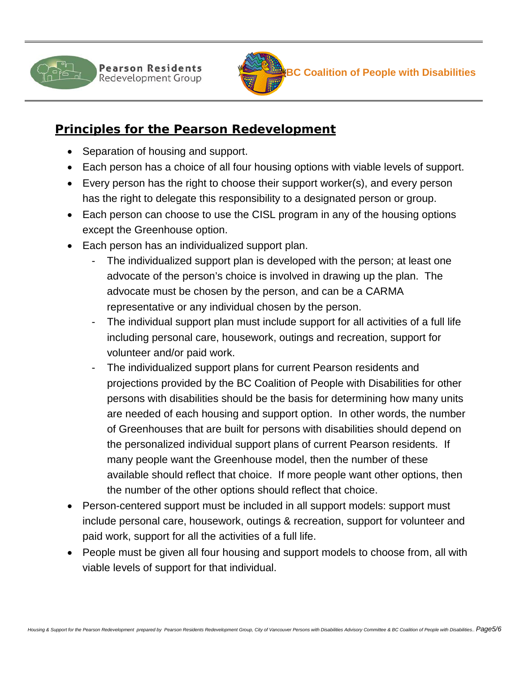



## **Principles for the Pearson Redevelopment**

- Separation of housing and support.
- Each person has a choice of all four housing options with viable levels of support.
- Every person has the right to choose their support worker(s), and every person has the right to delegate this responsibility to a designated person or group.
- Each person can choose to use the CISL program in any of the housing options except the Greenhouse option.
- Each person has an individualized support plan.
	- The individualized support plan is developed with the person; at least one advocate of the person's choice is involved in drawing up the plan. The advocate must be chosen by the person, and can be a CARMA representative or any individual chosen by the person.
	- The individual support plan must include support for all activities of a full life including personal care, housework, outings and recreation, support for volunteer and/or paid work.
	- The individualized support plans for current Pearson residents and projections provided by the BC Coalition of People with Disabilities for other persons with disabilities should be the basis for determining how many units are needed of each housing and support option. In other words, the number of Greenhouses that are built for persons with disabilities should depend on the personalized individual support plans of current Pearson residents. If many people want the Greenhouse model, then the number of these available should reflect that choice. If more people want other options, then the number of the other options should reflect that choice.
- Person-centered support must be included in all support models: support must include personal care, housework, outings & recreation, support for volunteer and paid work, support for all the activities of a full life.
- People must be given all four housing and support models to choose from, all with viable levels of support for that individual.